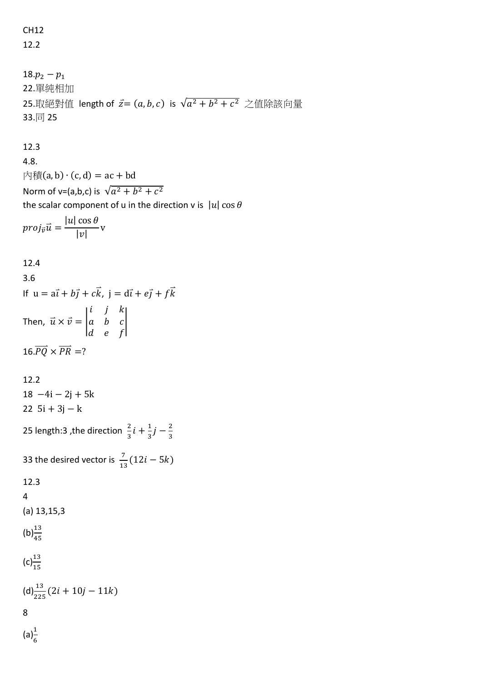CH12 12.2

18. $p_2 - p_1$ 22.單純相加 25.取絕對值 length of  $\vec{z} = (a, b, c)$  is  $\sqrt{a^2 + b^2 + c^2}$  之值除該向量 33.同 25

## 12.3

4.8.  $\overrightarrow{p}$  (a, b) ⋅ (c, d) = ac + bd Norm of v=(a,b,c) is  $\sqrt{a^2 + b^2 + c^2}$ the scalar component of u in the direction v is  $|u| \cos \theta$  $proj_{\vec{v}}\vec{u} =$  $|u|$  cos  $\theta$  $\frac{\overline{\phantom{0}}\phantom{0}}{|v|}$  v

## 12.4

3.6 If  $u = a\vec{i} + b\vec{j} + c\vec{k}$ ,  $\vec{j} = d\vec{i} + e\vec{j} + f\vec{k}$ Then,  $\vec{u} \times \vec{v} =$ i j k  $a \quad b \quad c$  $d$  e f |  $16.\overrightarrow{PO} \times \overrightarrow{PR} = ?$ 

## 12.2

 $18 -4i - 2j + 5k$  $22 \; 5i + 3j - k$ 

25 length:3 ,the direction  $\frac{2}{3}i + \frac{1}{3}$  $rac{1}{3}j-\frac{2}{3}$ 3

33 the desired vector is 
$$
\frac{7}{13}(12i - 5k)
$$

$$
12.3\phantom{0}
$$

4

$$
(a) 13, 15, 3
$$

$$
\left(b\right)^{13}_{45}
$$

(c)
$$
\frac{13}{15}
$$
  
(d) $\frac{13}{225}$  (2*i* + 10*j* – 11*k*)  
8

 $(a)<sub>c</sub><sup>1</sup>$ 6